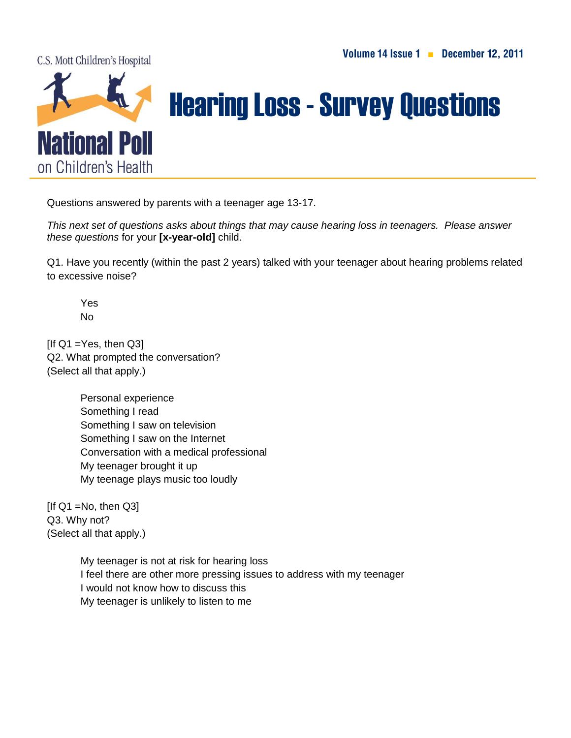C.S. Mott Children's Hospital



## Hearing Loss-Survey Questions

Questions answered by parents with a teenager age 13-17.

*This next set of questions asks about things that may cause hearing loss in teenagers. Please answer these questions* for your **[x-year-old]** child.

Q1. Have you recently (within the past 2 years) talked with your teenager about hearing problems related to excessive noise?

Yes No

 $[If Q1 = Yes, then Q3]$ Q2. What prompted the conversation? (Select all that apply.)

> Personal experience Something I read Something I saw on television Something I saw on the Internet Conversation with a medical professional My teenager brought it up My teenage plays music too loudly

 $[If Q1 = No, then Q3]$ Q3. Why not? (Select all that apply.)

> My teenager is not at risk for hearing loss I feel there are other more pressing issues to address with my teenager I would not know how to discuss this My teenager is unlikely to listen to me